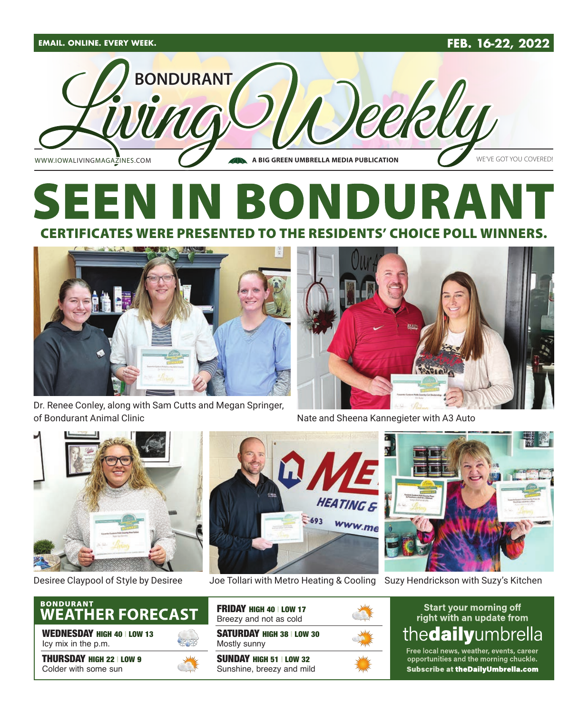



## SEI R CERTIFICATES WERE PRESENTED TO THE RESIDENTS' CHOICE POLL WINNERS.



Dr. Renee Conley, along with Sam Cutts and Megan Springer, of Bondurant Animal Clinic



Nate and Sheena Kannegieter with A3 Auto





Desiree Claypool of Style by Desiree Joe Tollari with Metro Heating & Cooling Suzy Hendrickson with Suzy's Kitchen





WEDNESDAY HIGH 40 | LOW 13 Icy mix in the p.m.

THURSDAY HIGH 22 | LOW 9 Colder with some sun



SATURDAY HIGH 38 | LOW 30 Mostly sunny SUNDAY HIGH 51 | LOW 32 Sunshine, breezy and mild FRIDAY HIGH 40 | LOW 17 Breezy and not as cold





Free local news, weather, events, career opportunities and the morning chuckle. Subscribe at theDailyUmbrella.com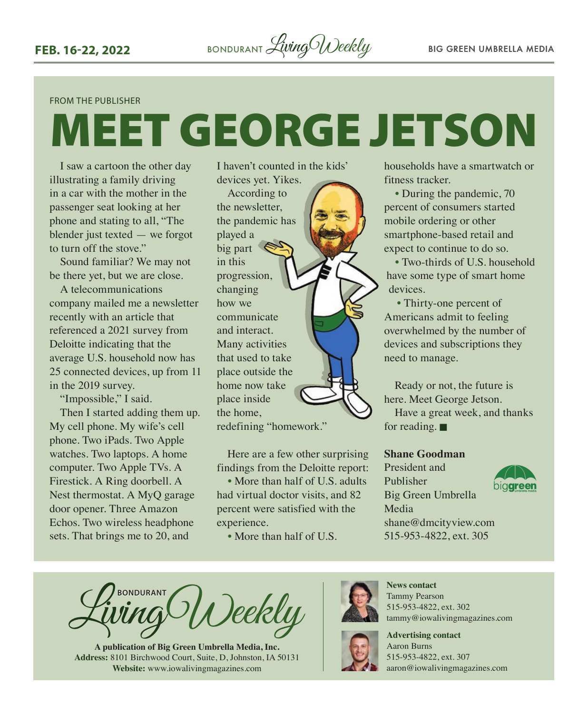#### FROM THE PUBLISHER

# MEET GEORGE JETSON

I saw a cartoon the other day illustrating a family driving in a car with the mother in the passenger seat looking at her phone and stating to all, "The blender just texted — we forgot to turn off the stove."

Sound familiar? We may not be there yet, but we are close.

A telecommunications company mailed me a newsletter recently with an article that referenced a 2021 survey from Deloitte indicating that the average U.S. household now has 25 connected devices, up from 11 in the 2019 survey.

"Impossible," I said. Then I started adding them up. My cell phone. My wife's cell phone. Two iPads. Two Apple watches. Two laptops. A home computer. Two Apple TVs. A Firestick. A Ring doorbell. A Nest thermostat. A MyQ garage door opener. Three Amazon Echos. Two wireless headphone sets. That brings me to 20, and

I haven't counted in the kids' devices yet. Yikes.

According to the newsletter, the pandemic has played a big part in this progression, changing how we communicate and interact. Many activities that used to take place outside the home now take place inside the home, redefining "homework."

Here are a few other surprising findings from the Deloitte report:

• More than half of U.S. adults had virtual doctor visits, and 82 percent were satisfied with the experience.

• More than half of U.S.

households have a smartwatch or fitness tracker.

• During the pandemic, 70 percent of consumers started mobile ordering or other smartphone-based retail and expect to continue to do so.

• Two-thirds of U.S. household have some type of smart home devices.

• Thirty-one percent of Americans admit to feeling overwhelmed by the number of devices and subscriptions they need to manage.

Ready or not, the future is here. Meet George Jetson.

Have a great week, and thanks for reading.  $\blacksquare$ 

#### **Shane Goodman**

President and Publisher Big Green Umbrella Media [shane@dmcityview.com](mailto:shane@dmcityview.com) 515-953-4822, ext. 305



**BONDURANT** Deekly

**A publication of Big Green Umbrella Media, Inc. Address:** 8101 Birchwood Court, Suite, D, Johnston, IA 50131 **Website:** www.iowalivingmagazines.com



**News contact** Tammy Pearson 515-953-4822, ext. 302 tammy@iowalivingmagazines.com



**Advertising contact** Aaron Burns 515-953-4822, ext. 307

[aaron@iowalivingmagazines.com](mailto:aaron@iowalivingmagazines.com)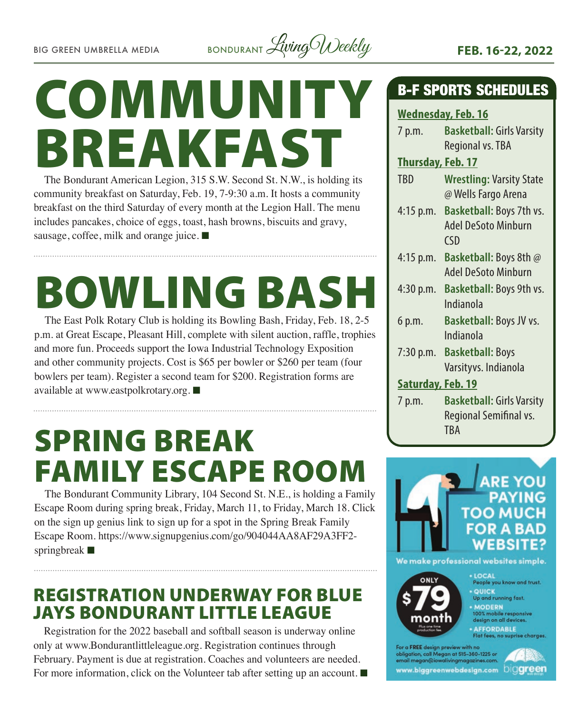

# COMMUNITY BREAKFAST

The Bondurant American Legion, 315 S.W. Second St. N.W., is holding its community breakfast on Saturday, Feb. 19, 7-9:30 a.m. It hosts a community breakfast on the third Saturday of every month at the Legion Hall. The menu includes pancakes, choice of eggs, toast, hash browns, biscuits and gravy, sausage, coffee, milk and orange juice.  $\blacksquare$ 

# **BOWLING BAS**

The East Polk Rotary Club is holding its Bowling Bash, Friday, Feb. 18, 2-5 p.m. at Great Escape, Pleasant Hill, complete with silent auction, raffle, trophies and more fun. Proceeds support the Iowa Industrial Technology Exposition and other community projects. Cost is \$65 per bowler or \$260 per team (four bowlers per team). Register a second team for \$200. Registration forms are available at [www.eastpolkrotary.org.](http://www.eastpolkrotary.org)  $\blacksquare$ 

## SPRING BREAK FAMILY ESCAPE ROOM

The Bondurant Community Library, 104 Second St. N.E., is holding a Family Escape Room during spring break, Friday, March 11, to Friday, March 18. Click on the sign up genius link to sign up for a spot in the Spring Break Family Escape Room. [https://www.signupgenius.com/go/904044AA8AF29A3FF2](https://www.signupgenius.com/go/904044AA8AF29A3FF2-springbreak) [springbreak](https://www.signupgenius.com/go/904044AA8AF29A3FF2-springbreak)  $\blacksquare$ 

## REGISTRATION UNDERWAY FOR BLUE JAYS BONDURANT LITTLE LEAGUE

Registration for the 2022 baseball and softball season is underway online only at [www.Bondurantlittleleague.org.](http://www.Bondurantlittleleague.org) Registration continues through February. Payment is due at registration. Coaches and volunteers are needed. For more information, click on the Volunteer tab after setting up an account.  $\blacksquare$ 

### B-F SPORTS SCHEDULES

#### **Wednesday, Feb. 16**

| 7 p.m.                   | <b>Basketball: Girls Varsity</b><br>Regional vs. TBA                     |
|--------------------------|--------------------------------------------------------------------------|
| <b>Thursday, Feb. 17</b> |                                                                          |
| <b>TBD</b>               | <b>Wrestling: Varsity State</b><br>@ Wells Fargo Arena                   |
| $4:15$ p.m.              | Basketball: Boys 7th vs.<br><b>Adel DeSoto Minburn</b><br>$\mathsf{CSD}$ |
| 4:15 p.m.                | <b>Basketball:</b> Boys 8th @<br><b>Adel DeSoto Minburn</b>              |
| 4:30 p.m.                | Basketball: Boys 9th vs.<br>Indianola                                    |
| 6 p.m.                   | Basketball: Boys JV vs.<br>Indianola                                     |
| 7:30 p.m.                | <b>Basketball: Boys</b><br>Varsityvs. Indianola                          |
| Saturday, Feb. 19        |                                                                          |
| 7 p.m.                   | <b>Basketball: Girls Varsity</b><br>Regional Semifinal vs.<br>TBA        |



obligation, call Megan at 515-360-1225 or megan@iowalivingmagazines.com www.biggreenwebdesign.com DiCigreen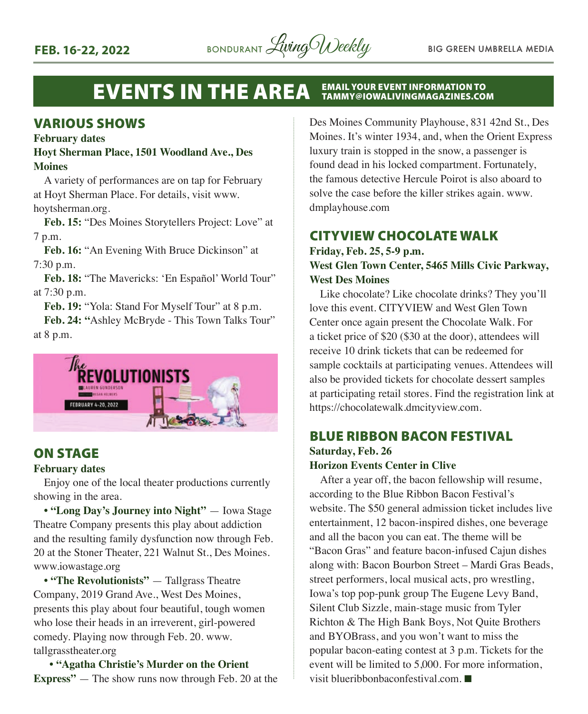

#### EVENTS IN THE AREA EMAIL YOUR EVENT INFORMATION TO TAMMY@IOWALIVINGMAGAZINES.COM

#### VARIOUS SHOWS

#### **February dates**

#### **Hoyt Sherman Place, 1501 Woodland Ave., Des Moines**

A variety of performances are on tap for February at Hoyt Sherman Place. For details, visit [www.](http://www.hoytsherman.org) [hoytsherman.org](http://www.hoytsherman.org).

**Feb. 15:** "Des Moines Storytellers Project: Love" at 7 p.m.

**Feb. 16:** "An Evening With Bruce Dickinson" at 7:30 p.m.

**Feb. 18:** "The Mavericks: 'En Español' World Tour" at 7:30 p.m.

**Feb. 19:** "Yola: Stand For Myself Tour" at 8 p.m.

**Feb. 24: "**Ashley McBryde - This Town Talks Tour" at 8 p.m.



#### ON STAGE

#### **February dates**

Enjoy one of the local theater productions currently showing in the area.

**• "Long Day's Journey into Night"** — Iowa Stage Theatre Company presents this play about addiction and the resulting family dysfunction now through Feb. 20 at the Stoner Theater, 221 Walnut St., Des Moines. [www.iowastage.org](http://www.iowastage.org)

**• "The Revolutionists"** — Tallgrass Theatre Company, 2019 Grand Ave., West Des Moines, presents this play about four beautiful, tough women who lose their heads in an irreverent, girl-powered comedy. Playing now through Feb. 20. [www.](http://www.tallgrasstheater.org) [tallgrasstheater.org](http://www.tallgrasstheater.org)

 **• "Agatha Christie's Murder on the Orient Express"** — The show runs now through Feb. 20 at the Des Moines Community Playhouse, 831 42nd St., Des Moines. It's winter 1934, and, when the Orient Express luxury train is stopped in the snow, a passenger is found dead in his locked compartment. Fortunately, the famous detective Hercule Poirot is also aboard to solve the case before the killer strikes again. [www.](http://www.dmplayhouse.com) [dmplayhouse.com](http://www.dmplayhouse.com)

#### CITYVIEW CHOCOLATE WALK

**Friday, Feb. 25, 5-9 p.m.**

#### **West Glen Town Center, 5465 Mills Civic Parkway, West Des Moines**

Like chocolate? Like chocolate drinks? They you'll love this event. CITYVIEW and West Glen Town Center once again present the Chocolate Walk. For a ticket price of \$20 (\$30 at the door), attendees will receive 10 drink tickets that can be redeemed for sample cocktails at participating venues. Attendees will also be provided tickets for chocolate dessert samples at participating retail stores. Find the registration link at [https://chocolatewalk.dmcityview.com.](https://chocolatewalk.dmcityview.com)

#### BLUE RIBBON BACON FESTIVAL **Saturday, Feb. 26**

#### **Horizon Events Center in Clive**

After a year off, the bacon fellowship will resume, according to the Blue Ribbon Bacon Festival's website. The \$50 general admission ticket includes live entertainment, 12 bacon-inspired dishes, one beverage and all the bacon you can eat. The theme will be "Bacon Gras" and feature bacon-infused Cajun dishes along with: Bacon Bourbon Street – Mardi Gras Beads, street performers, local musical acts, pro wrestling, Iowa's top pop-punk group The Eugene Levy Band, Silent Club Sizzle, main-stage music from Tyler Richton & The High Bank Boys, Not Quite Brothers and BYOBrass, and you won't want to miss the popular bacon-eating contest at 3 p.m. Tickets for the event will be limited to 5,000. For more information, visit [blueribbonbaconfestival.com](http://blueribbonbaconfestival.com).  $\blacksquare$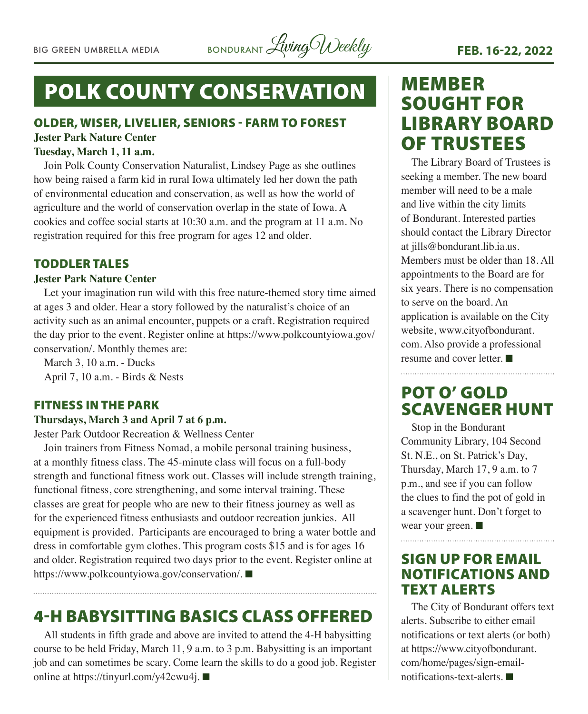## POLK COUNTY CONSERVATION

#### OLDER, WISER, LIVELIER, SENIORS - FARM TO FOREST **Jester Park Nature Center**

#### **Tuesday, March 1, 11 a.m.**

Join Polk County Conservation Naturalist, Lindsey Page as she outlines how being raised a farm kid in rural Iowa ultimately led her down the path of environmental education and conservation, as well as how the world of agriculture and the world of conservation overlap in the state of Iowa. A cookies and coffee social starts at 10:30 a.m. and the program at 11 a.m. No registration required for this free program for ages 12 and older.

#### TODDLER TALES

#### **Jester Park Nature Center**

Let your imagination run wild with this free nature-themed story time aimed at ages 3 and older. Hear a story followed by the naturalist's choice of an activity such as an animal encounter, puppets or a craft. Registration required the day prior to the event. Register online at [https://www.polkcountyiowa.gov/](https://www.polkcountyiowa.gov/conservation/) [conservation/](https://www.polkcountyiowa.gov/conservation/). Monthly themes are:

March 3, 10 a.m. - Ducks April 7, 10 a.m. - Birds & Nests

#### FITNESS IN THE PARK

#### **Thursdays, March 3 and April 7 at 6 p.m.**

Jester Park Outdoor Recreation & Wellness Center

Join trainers from Fitness Nomad, a mobile personal training business, at a monthly fitness class. The 45-minute class will focus on a full-body strength and functional fitness work out. Classes will include strength training, functional fitness, core strengthening, and some interval training. These classes are great for people who are new to their fitness journey as well as for the experienced fitness enthusiasts and outdoor recreation junkies. All equipment is provided. Participants are encouraged to bring a water bottle and dress in comfortable gym clothes. This program costs \$15 and is for ages 16 and older. Registration required two days prior to the event. Register online at [https://www.polkcountyiowa.gov/conservation/.](https://www.polkcountyiowa.gov/conservation/) ■

## 4-H BABYSITTING BASICS CLASS OFFERED

All students in fifth grade and above are invited to attend the 4-H babysitting course to be held Friday, March 11, 9 a.m. to 3 p.m. Babysitting is an important job and can sometimes be scary. Come learn the skills to do a good job. Register online at [https://tinyurl.com/y42cwu4j.](https://tinyurl.com/y42cwu4j) ■

## MEMBER SOUGHT FOR LIBRARY BOARD OF TRUSTEES

The Library Board of Trustees is seeking a member. The new board member will need to be a male and live within the city limits of Bondurant. Interested parties should contact the Library Director at [jills@bondurant.lib.ia.us](mailto:jills@bondurant.lib.ia.us). Members must be older than 18. All appointments to the Board are for six years. There is no compensation to serve on the board. An application is available on the City website, [www.cityofbondurant.](http://www.cityofbondurant.com) [com.](http://www.cityofbondurant.com) Also provide a professional resume and cover letter.  $\blacksquare$ 

### POT O' GOLD SCAVENGER HUNT

Stop in the Bondurant Community Library, 104 Second St. N.E., on St. Patrick's Day, Thursday, March 17, 9 a.m. to 7 p.m., and see if you can follow the clues to find the pot of gold in a scavenger hunt. Don't forget to wear your green.  $\blacksquare$ 

#### SIGN UP FOR EMAIL NOTIFICATIONS AND TEXT ALERTS

The City of Bondurant offers text alerts. Subscribe to either email notifications or text alerts (or both) at [https://www.cityofbondurant.](https://www.cityofbondurant.com/home/pages/sign-email-notifications-text-alerts) [com/home/pages/sign-email](https://www.cityofbondurant.com/home/pages/sign-email-notifications-text-alerts) $notifications-text-alerts.$  $notifications-text-alerts.$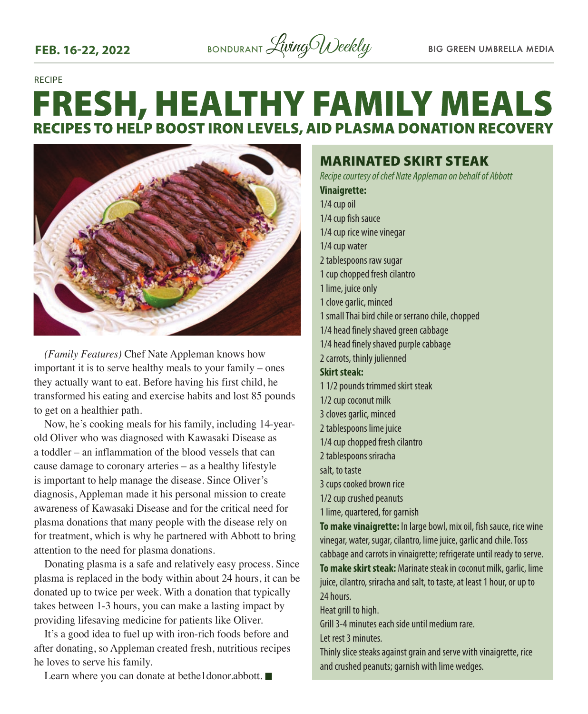RECIPE

## **FRESH, HEALTHY FAMILY MEALS RECIPES TO HELP BOOST IRON LEVELS, AID PLASMA DONATION RECOVERY**



*(Family Features)* Chef Nate Appleman knows how important it is to serve healthy meals to your family – ones they actually want to eat. Before having his first child, he transformed his eating and exercise habits and lost 85 pounds to get on a healthier path.

Now, he's cooking meals for his family, including 14-yearold Oliver who was diagnosed with Kawasaki Disease as a toddler – an inflammation of the blood vessels that can cause damage to coronary arteries – as a healthy lifestyle is important to help manage the disease. Since Oliver's diagnosis, Appleman made it his personal mission to create awareness of Kawasaki Disease and for the critical need for plasma donations that many people with the disease rely on for treatment, which is why he partnered with Abbott to bring attention to the need for plasma donations.

Donating plasma is a safe and relatively easy process. Since plasma is replaced in the body within about 24 hours, it can be donated up to twice per week. With a donation that typically takes between 1-3 hours, you can make a lasting impact by providing lifesaving medicine for patients like Oliver.

It's a good idea to fuel up with iron-rich foods before and after donating, so Appleman created fresh, nutritious recipes he loves to serve his family.

Learn where you can donate at bethe1donor.abbott.  $\blacksquare$ 

MARINATED SKIRT STEAK *Recipe courtesy of chef Nate Appleman on behalf of Abbott* **Vinaigrette:** 1/4 cup oil 1/4 cup fish sauce 1/4 cup rice wine vinegar 1/4 cup water 2 tablespoons raw sugar 1 cup chopped fresh cilantro 1 lime, juice only 1 clove garlic, minced 1 small Thai bird chile or serrano chile, chopped 1/4 head finely shaved green cabbage 1/4 head finely shaved purple cabbage 2 carrots, thinly julienned **Skirt steak:**  1 1/2 pounds trimmed skirt steak 1/2 cup coconut milk 3 cloves garlic, minced 2 tablespoons lime juice 1/4 cup chopped fresh cilantro 2 tablespoons sriracha salt, to taste 3 cups cooked brown rice 1/2 cup crushed peanuts 1 lime, quartered, for garnish **To make vinaigrette:** In large bowl, mix oil, fish sauce, rice wine vinegar, water, sugar, cilantro, lime juice, garlic and chile. Toss cabbage and carrots in vinaigrette; refrigerate until ready to serve. **To make skirt steak:** Marinate steak in coconut milk, garlic, lime juice, cilantro, sriracha and salt, to taste, at least 1 hour, or up to 24 hours. Heat grill to high. Grill 3-4 minutes each side until medium rare. Let rest 3 minutes

Thinly slice steaks against grain and serve with vinaigrette, rice and crushed peanuts; garnish with lime wedges.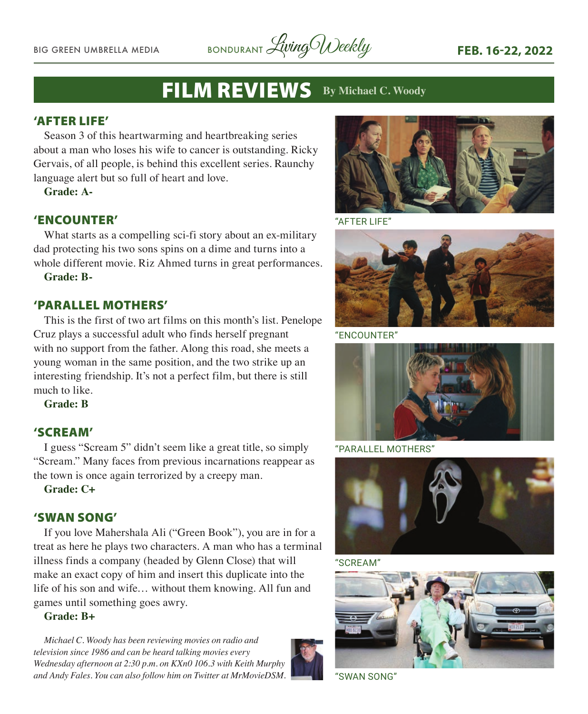BIG GREEN UMBRELLA MEDIA BONDURANT *Living Weekly* FEB. 16-22, 2022

## FILM REVIEWS **By Michael C. Woody**

#### 'AFTER LIFE'

Season 3 of this heartwarming and heartbreaking series about a man who loses his wife to cancer is outstanding. Ricky Gervais, of all people, is behind this excellent series. Raunchy language alert but so full of heart and love.

**Grade: A-**

#### 'ENCOUNTER'

What starts as a compelling sci-fi story about an ex-military dad protecting his two sons spins on a dime and turns into a whole different movie. Riz Ahmed turns in great performances.

**Grade: B-**

#### 'PARALLEL MOTHERS'

This is the first of two art films on this month's list. Penelope Cruz plays a successful adult who finds herself pregnant with no support from the father. Along this road, she meets a young woman in the same position, and the two strike up an interesting friendship. It's not a perfect film, but there is still much to like.

**Grade: B**

#### 'SCREAM'

I guess "Scream 5" didn't seem like a great title, so simply "Scream." Many faces from previous incarnations reappear as the town is once again terrorized by a creepy man.

**Grade: C+**

#### 'SWAN SONG'

If you love Mahershala Ali ("Green Book"), you are in for a treat as here he plays two characters. A man who has a terminal illness finds a company (headed by Glenn Close) that will make an exact copy of him and insert this duplicate into the life of his son and wife… without them knowing. All fun and games until something goes awry.

#### **Grade: B+**

*Michael C. Woody has been reviewing movies on radio and television since 1986 and can be heard talking movies every Wednesday afternoon at 2:30 p.m. on KXn0 106.3 with Keith Murphy and Andy Fales. You can also follow him on Twitter at MrMovieDSM.* "SWAN SONG"





"AFTER LIFE"



"ENCOUNTER"



"PARALLEL MOTHERS"



"SCREAM"